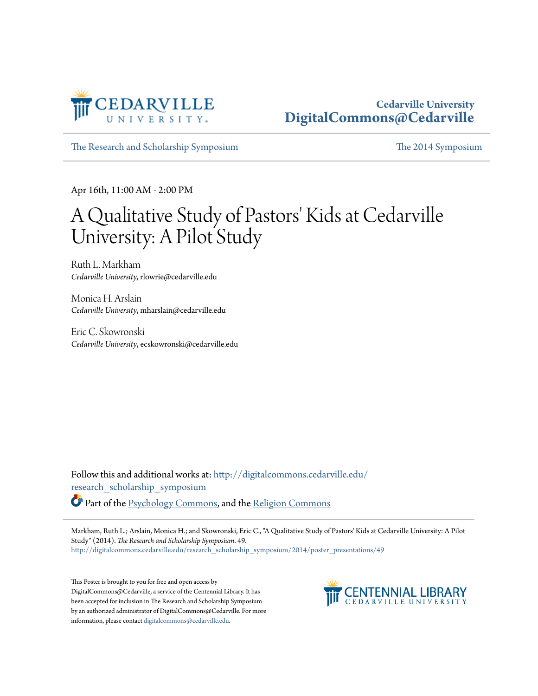

#### **Cedarville University [DigitalCommons@Cedarville](http://digitalcommons.cedarville.edu?utm_source=digitalcommons.cedarville.edu%2Fresearch_scholarship_symposium%2F2014%2Fposter_presentations%2F49&utm_medium=PDF&utm_campaign=PDFCoverPages)**

[The Research and Scholarship Symposium](http://digitalcommons.cedarville.edu/research_scholarship_symposium?utm_source=digitalcommons.cedarville.edu%2Fresearch_scholarship_symposium%2F2014%2Fposter_presentations%2F49&utm_medium=PDF&utm_campaign=PDFCoverPages) [The 2014 Symposium](http://digitalcommons.cedarville.edu/research_scholarship_symposium/2014?utm_source=digitalcommons.cedarville.edu%2Fresearch_scholarship_symposium%2F2014%2Fposter_presentations%2F49&utm_medium=PDF&utm_campaign=PDFCoverPages)

Apr 16th, 11:00 AM - 2:00 PM

#### A Qualitative Study of Pastors' Kids at Cedarville University: A Pilot Study

Ruth L. Markham *Cedarville University*, rlowrie@cedarville.edu

Monica H. Arslain *Cedarville University*, mharslain@cedarville.edu

Eric C. Skowronski *Cedarville University*, ecskowronski@cedarville.edu

Follow this and additional works at: [http://digitalcommons.cedarville.edu/](http://digitalcommons.cedarville.edu/research_scholarship_symposium?utm_source=digitalcommons.cedarville.edu%2Fresearch_scholarship_symposium%2F2014%2Fposter_presentations%2F49&utm_medium=PDF&utm_campaign=PDFCoverPages) [research\\_scholarship\\_symposium](http://digitalcommons.cedarville.edu/research_scholarship_symposium?utm_source=digitalcommons.cedarville.edu%2Fresearch_scholarship_symposium%2F2014%2Fposter_presentations%2F49&utm_medium=PDF&utm_campaign=PDFCoverPages) Part of the [Psychology Commons](http://network.bepress.com/hgg/discipline/404?utm_source=digitalcommons.cedarville.edu%2Fresearch_scholarship_symposium%2F2014%2Fposter_presentations%2F49&utm_medium=PDF&utm_campaign=PDFCoverPages), and the [Religion Commons](http://network.bepress.com/hgg/discipline/538?utm_source=digitalcommons.cedarville.edu%2Fresearch_scholarship_symposium%2F2014%2Fposter_presentations%2F49&utm_medium=PDF&utm_campaign=PDFCoverPages)

Markham, Ruth L.; Arslain, Monica H.; and Skowronski, Eric C., "A Qualitative Study of Pastors' Kids at Cedarville University: A Pilot Study" (2014). *The Research and Scholarship Symposium*. 49. [http://digitalcommons.cedarville.edu/research\\_scholarship\\_symposium/2014/poster\\_presentations/49](http://digitalcommons.cedarville.edu/research_scholarship_symposium/2014/poster_presentations/49?utm_source=digitalcommons.cedarville.edu%2Fresearch_scholarship_symposium%2F2014%2Fposter_presentations%2F49&utm_medium=PDF&utm_campaign=PDFCoverPages)

This Poster is brought to you for free and open access by DigitalCommons@Cedarville, a service of the Centennial Library. It has been accepted for inclusion in The Research and Scholarship Symposium by an authorized administrator of DigitalCommons@Cedarville. For more information, please contact [digitalcommons@cedarville.edu.](mailto:digitalcommons@cedarville.edu)